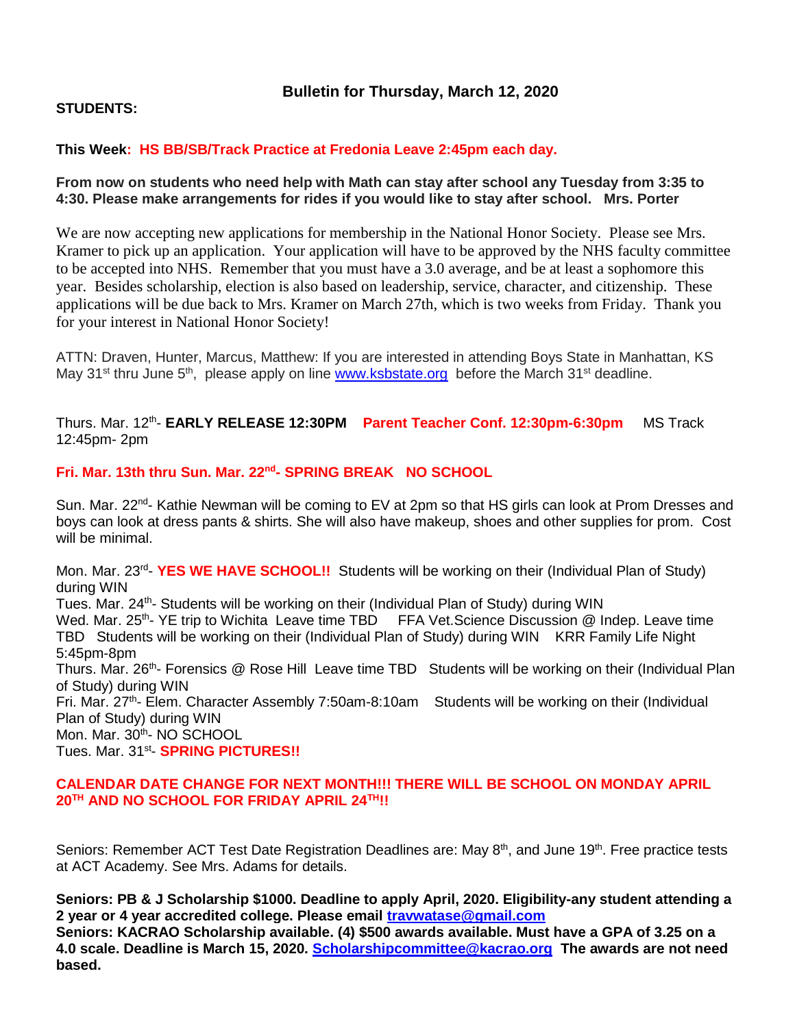# **Bulletin for Thursday, March 12, 2020**

# **STUDENTS:**

# **This Week: HS BB/SB/Track Practice at Fredonia Leave 2:45pm each day.**

## **From now on students who need help with Math can stay after school any Tuesday from 3:35 to 4:30. Please make arrangements for rides if you would like to stay after school. Mrs. Porter**

We are now accepting new applications for membership in the National Honor Society. Please see Mrs. Kramer to pick up an application. Your application will have to be approved by the NHS faculty committee to be accepted into NHS. Remember that you must have a 3.0 average, and be at least a sophomore this year. Besides scholarship, election is also based on leadership, service, character, and citizenship. These applications will be due back to Mrs. Kramer on March 27th, which is two weeks from Friday. Thank you for your interest in National Honor Society!

ATTN: Draven, Hunter, Marcus, Matthew: If you are interested in attending Boys State in Manhattan, KS May 31<sup>st</sup> thru June 5<sup>th</sup>, please apply on line [www.ksbstate.org](http://www.ksbstate.org/) before the March 31<sup>st</sup> deadline.

Thurs. Mar. 12<sup>th</sup>- EARLY RELEASE 12:30PM Parent Teacher Conf. 12:30pm-6:30pm MS Track 12:45pm- 2pm

### **Fri. Mar. 13th thru Sun. Mar. 22nd - SPRING BREAK NO SCHOOL**

Sun. Mar. 22<sup>nd</sup>- Kathie Newman will be coming to EV at 2pm so that HS girls can look at Prom Dresses and boys can look at dress pants & shirts. She will also have makeup, shoes and other supplies for prom. Cost will be minimal.

Mon. Mar. 23<sup>rd</sup>- YES WE HAVE SCHOOL!! Students will be working on their (Individual Plan of Study) during WIN

Tues. Mar. 24<sup>th</sup>- Students will be working on their (Individual Plan of Study) during WIN

Wed. Mar. 25<sup>th</sup>- YE trip to Wichita Leave time TBD FFA Vet. Science Discussion @ Indep. Leave time TBD Students will be working on their (Individual Plan of Study) during WIN KRR Family Life Night 5:45pm-8pm

Thurs. Mar. 26<sup>th</sup>- Forensics @ Rose Hill Leave time TBD Students will be working on their (Individual Plan of Study) during WIN

Fri. Mar. 27<sup>th</sup>- Elem. Character Assembly 7:50am-8:10am Students will be working on their (Individual Plan of Study) during WIN

Mon. Mar. 30<sup>th</sup>- NO SCHOOL

Tues. Mar. 31<sup>st</sup>- SPRING PICTURES!!

### **CALENDAR DATE CHANGE FOR NEXT MONTH!!! THERE WILL BE SCHOOL ON MONDAY APRIL 20TH AND NO SCHOOL FOR FRIDAY APRIL 24TH!!**

Seniors: Remember ACT Test Date Registration Deadlines are: May 8<sup>th</sup>, and June 19<sup>th</sup>. Free practice tests at ACT Academy. See Mrs. Adams for details.

**Seniors: PB & J Scholarship \$1000. Deadline to apply April, 2020. Eligibility-any student attending a 2 year or 4 year accredited college. Please email [travwatase@gmail.com](mailto:travwatase@gmail.com) Seniors: KACRAO Scholarship available. (4) \$500 awards available. Must have a GPA of 3.25 on a 4.0 scale. Deadline is March 15, 2020. [Scholarshipcommittee@kacrao.org](mailto:Scholarshipcommittee@kacrao.org) The awards are not need based.**